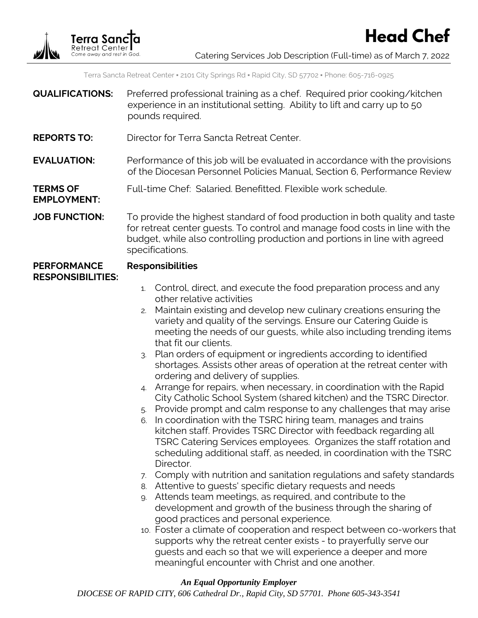

**EMPLOYMENT:**

**Head Chef**

Terra Sancta Retreat Center ▪ 2101 City Springs Rd ▪ Rapid City, SD 57702 ▪ Phone: 605-716-0925

- **QUALIFICATIONS:** Preferred professional training as a chef. Required prior cooking/kitchen experience in an institutional setting. Ability to lift and carry up to 50 pounds required.
- **REPORTS TO:** Director for Terra Sancta Retreat Center.
- **EVALUATION:** Performance of this job will be evaluated in accordance with the provisions of the Diocesan Personnel Policies Manual, Section 6, Performance Review

#### **TERMS OF**  Full-time Chef: Salaried. Benefitted. Flexible work schedule.

**JOB FUNCTION:** To provide the highest standard of food production in both quality and taste for retreat center guests. To control and manage food costs in line with the budget, while also controlling production and portions in line with agreed specifications.

#### **PERFORMANCE RESPONSIBILITIES: Responsibilities**

## 1. Control, direct, and execute the food preparation process and any other relative activities

- 2. Maintain existing and develop new culinary creations ensuring the variety and quality of the servings. Ensure our Catering Guide is meeting the needs of our guests, while also including trending items that fit our clients.
- 3. Plan orders of equipment or ingredients according to identified shortages. Assists other areas of operation at the retreat center with ordering and delivery of supplies.
- 4. Arrange for repairs, when necessary, in coordination with the Rapid City Catholic School System (shared kitchen) and the TSRC Director.
- 5. Provide prompt and calm response to any challenges that may arise
- 6. In coordination with the TSRC hiring team, manages and trains kitchen staff. Provides TSRC Director with feedback regarding all TSRC Catering Services employees. Organizes the staff rotation and scheduling additional staff, as needed, in coordination with the TSRC Director.
- 7. Comply with nutrition and sanitation regulations and safety standards
- 8. Attentive to guests' specific dietary requests and needs
- 9. Attends team meetings, as required, and contribute to the development and growth of the business through the sharing of good practices and personal experience.
- 10. Foster a climate of cooperation and respect between co-workers that supports why the retreat center exists - to prayerfully serve our guests and each so that we will experience a deeper and more meaningful encounter with Christ and one another.

## *An Equal Opportunity Employer*

*DIOCESE OF RAPID CITY, 606 Cathedral Dr., Rapid City, SD 57701. Phone 605-343-3541*